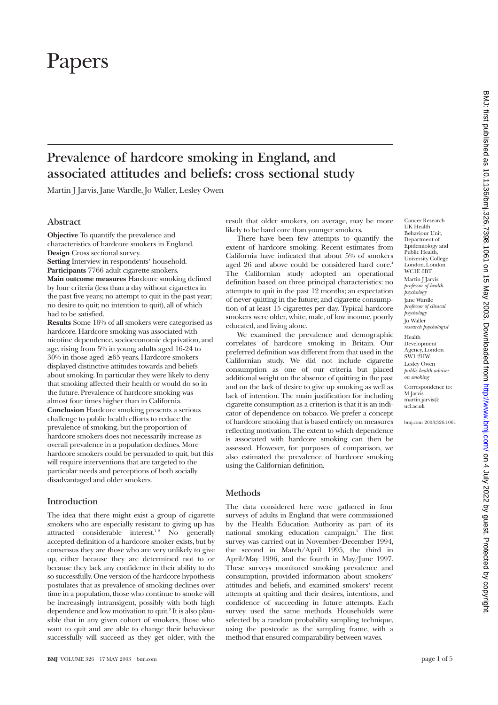# Papers

# **Prevalence of hardcore smoking in England, and associated attitudes and beliefs: cross sectional study**

Martin J Jarvis, Jane Wardle, Jo Waller, Lesley Owen

# **Abstract**

**Objective** To quantify the prevalence and characteristics of hardcore smokers in England. **Design** Cross sectional survey. **Setting** Interview in respondents' household. **Participants** 7766 adult cigarette smokers. **Main outcome measures** Hardcore smoking defined by four criteria (less than a day without cigarettes in the past five years; no attempt to quit in the past year; no desire to quit; no intention to quit), all of which had to be satisfied.

**Results** Some 16% of all smokers were categorised as hardcore. Hardcore smoking was associated with nicotine dependence, socioeconomic deprivation, and age, rising from 5% in young adults aged 16-24 to 30% in those aged ≥ 65 years. Hardcore smokers displayed distinctive attitudes towards and beliefs about smoking. In particular they were likely to deny that smoking affected their health or would do so in the future. Prevalence of hardcore smoking was almost four times higher than in California. **Conclusion** Hardcore smoking presents a serious challenge to public health efforts to reduce the prevalence of smoking, but the proportion of hardcore smokers does not necessarily increase as overall prevalence in a population declines. More hardcore smokers could be persuaded to quit, but this will require interventions that are targeted to the particular needs and perceptions of both socially disadvantaged and older smokers.

# **Introduction**

The idea that there might exist a group of cigarette smokers who are especially resistant to giving up has attracted considerable interest.<sup>12</sup> No generally accepted definition of a hardcore smoker exists, but by consensus they are those who are very unlikely to give up, either because they are determined not to or because they lack any confidence in their ability to do so successfully. One version of the hardcore hypothesis postulates that as prevalence of smoking declines over time in a population, those who continue to smoke will be increasingly intransigent, possibly with both high dependence and low motivation to quit.<sup>3</sup> It is also plausible that in any given cohort of smokers, those who want to quit and are able to change their behaviour successfully will succeed as they get older, with the result that older smokers, on average, may be more likely to be hard core than younger smokers.

There have been few attempts to quantify the extent of hardcore smoking. Recent estimates from California have indicated that about 5% of smokers aged 26 and above could be considered hard core.<sup>4</sup> The Californian study adopted an operational definition based on three principal characteristics: no attempts to quit in the past 12 months; an expectation of never quitting in the future; and cigarette consumption of at least 15 cigarettes per day. Typical hardcore smokers were older, white, male, of low income, poorly educated, and living alone.

We examined the prevalence and demographic correlates of hardcore smoking in Britain. Our preferred definition was different from that used in the Californian study. We did not include cigarette consumption as one of our criteria but placed additional weight on the absence of quitting in the past and on the lack of desire to give up smoking as well as lack of intention. The main justification for including cigarette consumption as a criterion is that it is an indicator of dependence on tobacco. We prefer a concept of hardcore smoking that is based entirely on measures reflecting motivation. The extent to which dependence is associated with hardcore smoking can then be assessed. However, for purposes of comparison, we also estimated the prevalence of hardcore smoking using the Californian definition.

# **Methods**

The data considered here were gathered in four surveys of adults in England that were commissioned by the Health Education Authority as part of its national smoking education campaign.<sup>5</sup> The first survey was carried out in November/December 1994, the second in March/April 1995, the third in April/May 1996, and the fourth in May/June 1997. These surveys monitored smoking prevalence and consumption, provided information about smokers' attitudes and beliefs, and examined smokers' recent attempts at quitting and their desires, intentions, and confidence of succeeding in future attempts. Each survey used the same methods. Households were selected by a random probability sampling technique, using the postcode as the sampling frame, with a method that ensured comparability between waves.

*on smoking* Correspondence to: M Jarvis martin.jarvis@ ucl.ac.uk

bmj.com 2003;326:1061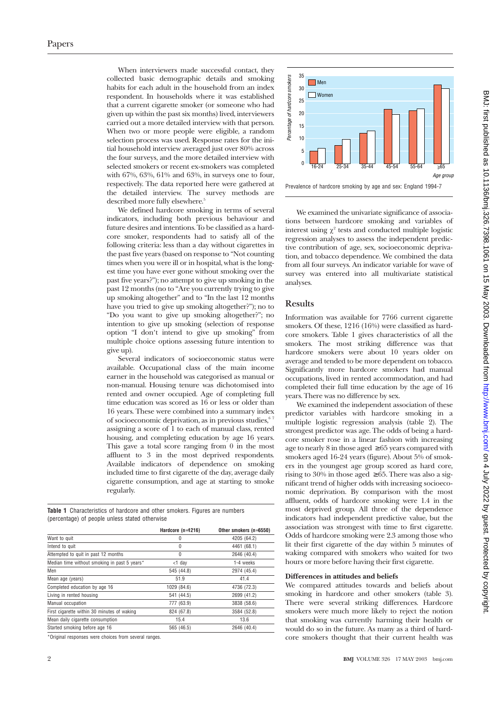When interviewers made successful contact, they collected basic demographic details and smoking habits for each adult in the household from an index respondent. In households where it was established that a current cigarette smoker (or someone who had given up within the past six months) lived, interviewers carried out a more detailed interview with that person. When two or more people were eligible, a random selection process was used. Response rates for the initial household interview averaged just over 80% across the four surveys, and the more detailed interview with selected smokers or recent ex-smokers was completed with 67%, 63%, 61% and 63%, in surveys one to four, respectively. The data reported here were gathered at the detailed interview. The survey methods are described more fully elsewhere.<sup>5</sup>

We defined hardcore smoking in terms of several indicators, including both previous behaviour and future desires and intentions. To be classified as a hardcore smoker, respondents had to satisfy all of the following criteria: less than a day without cigarettes in the past five years (based on response to "Not counting times when you were ill or in hospital, what is the longest time you have ever gone without smoking over the past five years?"); no attempt to give up smoking in the past 12 months (no to "Are you currently trying to give up smoking altogether" and to "In the last 12 months have you tried to give up smoking altogether?"); no to "Do you want to give up smoking altogether?"; no intention to give up smoking (selection of response option "I don't intend to give up smoking" from multiple choice options assessing future intention to give up).

Several indicators of socioeconomic status were available. Occupational class of the main income earner in the household was categorised as manual or non-manual. Housing tenure was dichotomised into rented and owner occupied. Age of completing full time education was scored as 16 or less or older than 16 years. These were combined into a summary index of socioeconomic deprivation, as in previous studies,<sup>67</sup> assigning a score of 1 to each of manual class, rented housing, and completing education by age 16 years. This gave a total score ranging from 0 in the most affluent to 3 in the most deprived respondents. Available indicators of dependence on smoking included time to first cigarette of the day, average daily cigarette consumption, and age at starting to smoke regularly.

**Table 1** Characteristics of hardcore and other smokers. Figures are numbers (percentage) of people unless stated otherwise

|                                              | Hardcore $(n=1216)$ | Other smokers (n=6550) |
|----------------------------------------------|---------------------|------------------------|
| Want to quit                                 | 0                   | 4205 (64.2)            |
| Intend to quit                               | $\theta$            | 4461 (68.1)            |
| Attempted to quit in past 12 months          | $\Omega$            | 2646 (40.4)            |
| Median time without smoking in past 5 years* | <1 dav              | 1-4 weeks              |
| Men                                          | 545 (44.8)          | 2974 (45.4)            |
| Mean age (years)                             | 51.9                | 41.4                   |
| Completed education by age 16                | 1029 (84.6)         | 4736 (72.3)            |
| Living in rented housing                     | 541 (44.5)          | 2699 (41.2)            |
| Manual occupation                            | 777 (63.9)          | 3838 (58.6)            |
| First cigarette within 30 minutes of waking  | 824 (67.8)          | 3584 (52.8)            |
| Mean daily cigarette consumption             | 15.4                | 13.6                   |
| Started smoking before age 16                | 565 (46.5)          | 2646 (40.4)            |

\*Original responses were choices from several ranges.



We examined the univariate significance of associations between hardcore smoking and variables of interest using  $\chi^2$  tests and conducted multiple logistic regression analyses to assess the independent predictive contribution of age, sex, socioeconomic deprivation, and tobacco dependence. We combined the data from all four surveys. An indicator variable for wave of survey was entered into all multivariate statistical analyses.

### **Results**

Information was available for 7766 current cigarette smokers. Of these, 1216 (16%) were classified as hardcore smokers. Table 1 gives characteristics of all the smokers. The most striking difference was that hardcore smokers were about 10 years older on average and tended to be more dependent on tobacco. Significantly more hardcore smokers had manual occupations, lived in rented accommodation, and had completed their full time education by the age of 16 years. There was no difference by sex.

We examined the independent association of these predictor variables with hardcore smoking in a multiple logistic regression analysis (table 2). The strongest predictor was age. The odds of being a hardcore smoker rose in a linear fashion with increasing age to nearly 8 in those aged  $\geq 65$  years compared with smokers aged 16-24 years (figure). About 5% of smokers in the youngest age group scored as hard core, rising to 30% in those aged  $\geq 65$ . There was also a significant trend of higher odds with increasing socioeconomic deprivation. By comparison with the most affluent, odds of hardcore smoking were 1.4 in the most deprived group. All three of the dependence indicators had independent predictive value, but the association was strongest with time to first cigarette. Odds of hardcore smoking were 2.3 among those who lit their first cigarette of the day within 5 minutes of waking compared with smokers who waited for two hours or more before having their first cigarette.

#### **Differences in attitudes and beliefs**

We compared attitudes towards and beliefs about smoking in hardcore and other smokers (table 3). There were several striking differences. Hardcore smokers were much more likely to reject the notion that smoking was currently harming their health or would do so in the future. As many as a third of hardcore smokers thought that their current health was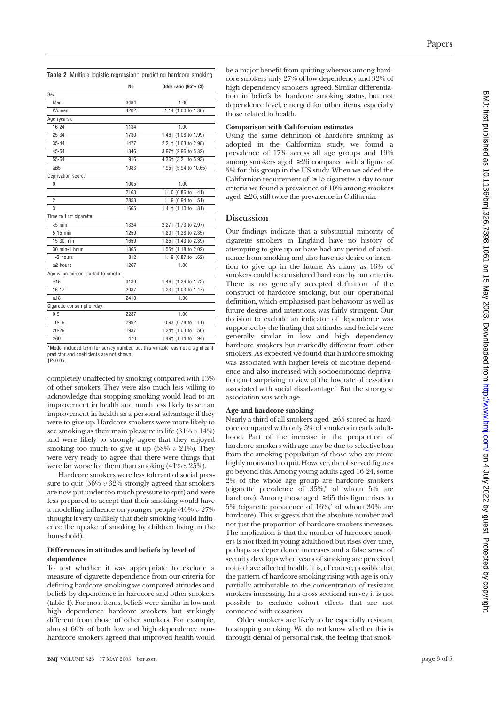**Table 2** Multiple logistic regression\* predicting hardcore smoking

|                                   | No   | Odds ratio (95% CI)   |
|-----------------------------------|------|-----------------------|
| Sex:                              |      |                       |
| Men                               | 3484 | 1.00                  |
| Women                             | 4202 | 1.14 (1.00 to 1.30)   |
| Age (years):                      |      |                       |
| 16-24                             | 1134 | 1.00                  |
| $25 - 34$                         | 1730 | 1.46† (1.08 to 1.99)  |
| $35 - 44$                         | 1477 | 2.21† (1.63 to 2.98)  |
| 45-54                             | 1346 | 3.97† (2.96 to 5.32)  |
| 55-64                             | 916  | 4.36† (3.21 to 5.93)  |
| $\geq 65$                         | 1083 | 7.95† (5.94 to 10.65) |
| Deprivation score:                |      |                       |
| 0                                 | 1005 | 1.00                  |
| $\mathbf{1}$                      | 2163 | 1.10 (0.86 to 1.41)   |
| $\overline{2}$                    | 2853 | 1.19 (0.94 to 1.51)   |
| 3                                 | 1665 | 1.41† (1.10 to 1.81)  |
| Time to first cigarette:          |      |                       |
| $< 5$ min                         | 1324 | 2.27† (1.73 to 2.97)  |
| 5-15 min                          | 1259 | 1.80+ (1.38 to 2.35)  |
| 15-30 min                         | 1659 | 1.85† (1.43 to 2.39)  |
| 30 min-1 hour                     | 1365 | 1.55† (1.18 to 2.02)  |
| 1-2 hours                         | 812  | 1.19 (0.87 to 1.62)   |
| >2 hours                          | 1267 | 1.00                  |
| Age when person started to smoke: |      |                       |
| < 15                              | 3189 | 1.46† (1.24 to 1.72)  |
| $16 - 17$                         | 2087 | 1.23† (1.03 to 1.47)  |
| >18                               | 2410 | 1.00                  |
| Cigarette consumption/day:        |      |                       |
| $0 - 9$                           | 2287 | 1.00                  |
| $10 - 19$                         | 2992 | 0.93 (0.78 to 1.11)   |
| $20 - 29$                         | 1937 | 1.24† (1.03 to 1.50)  |
| $\geq 30$                         | 470  | 1.49† (1.14 to 1.94)  |
|                                   |      |                       |

\*Model included term for survey number, but this variable was not a significant predictor and coefficients are not shown.  $+P<sub>0.05</sub>$ 

completely unaffected by smoking compared with 13% of other smokers. They were also much less willing to acknowledge that stopping smoking would lead to an improvement in health and much less likely to see an improvement in health as a personal advantage if they were to give up. Hardcore smokers were more likely to see smoking as their main pleasure in life (31% *v* 14%) and were likely to strongly agree that they enjoyed smoking too much to give it up  $(58\% \ v \ 21\%).$  They were very ready to agree that there were things that were far worse for them than smoking (41% *v* 25%).

Hardcore smokers were less tolerant of social pressure to quit (56% *v* 32% strongly agreed that smokers are now put under too much pressure to quit) and were less prepared to accept that their smoking would have a modelling influence on younger people (40% *v* 27% thought it very unlikely that their smoking would influence the uptake of smoking by children living in the household).

#### **Differences in attitudes and beliefs by level of dependence**

To test whether it was appropriate to exclude a measure of cigarette dependence from our criteria for defining hardcore smoking we compared attitudes and beliefs by dependence in hardcore and other smokers (table 4). For most items, beliefs were similar in low and high dependence hardcore smokers but strikingly different from those of other smokers. For example, almost 60% of both low and high dependency nonhardcore smokers agreed that improved health would

connected with cessation.

Older smokers are likely to be especially resistant to stopping smoking. We do not know whether this is through denial of personal risk, the feeling that smok-

be a major benefit from quitting whereas among hardcore smokers only 27% of low dependency and 32% of high dependency smokers agreed. Similar differentiation in beliefs by hardcore smoking status, but not dependence level, emerged for other items, especially those related to health.

# **Comparison with Californian estimates**

Using the same definition of hardcore smoking as adopted in the Californian study, we found a prevalence of 17% across all age groups and 19% among smokers aged  $\geq 26$  compared with a figure of 5% for this group in the US study. When we added the Californian requirement of  $\geq 15$  cigarettes a day to our criteria we found a prevalence of 10% among smokers aged ≥ 26, still twice the prevalence in California.

# **Discussion**

Our findings indicate that a substantial minority of cigarette smokers in England have no history of attempting to give up or have had any period of abstinence from smoking and also have no desire or intention to give up in the future. As many as 16% of smokers could be considered hard core by our criteria. There is no generally accepted definition of the construct of hardcore smoking, but our operational definition, which emphasised past behaviour as well as future desires and intentions, was fairly stringent. Our decision to exclude an indicator of dependence was supported by the finding that attitudes and beliefs were generally similar in low and high dependency hardcore smokers but markedly different from other smokers. As expected we found that hardcore smoking was associated with higher levels of nicotine dependence and also increased with socioeconomic deprivation; not surprising in view of the low rate of cessation associated with social disadvantage.<sup>6</sup> But the strongest association was with age.

# **Age and hardcore smoking**

Nearly a third of all smokers aged ≥ 65 scored as hardcore compared with only 5% of smokers in early adulthood. Part of the increase in the proportion of hardcore smokers with age may be due to selective loss from the smoking population of those who are more highly motivated to quit. However, the observed figures go beyond this. Among young adults aged 16-24, some 2% of the whole age group are hardcore smokers (cigarette prevalence of  $35\%,^8$  of whom  $5\%$  are hardcore). Among those aged  $\geq 65$  this figure rises to  $5\%$  (cigarette prevalence of  $16\%$ <sup>8</sup> of whom  $30\%$  are hardcore). This suggests that the absolute number and not just the proportion of hardcore smokers increases. The implication is that the number of hardcore smokers is not fixed in young adulthood but rises over time, perhaps as dependence increases and a false sense of security develops when years of smoking are perceived not to have affected health. It is, of course, possible that the pattern of hardcore smoking rising with age is only partially attributable to the concentration of resistant smokers increasing. In a cross sectional survey it is not possible to exclude cohort effects that are not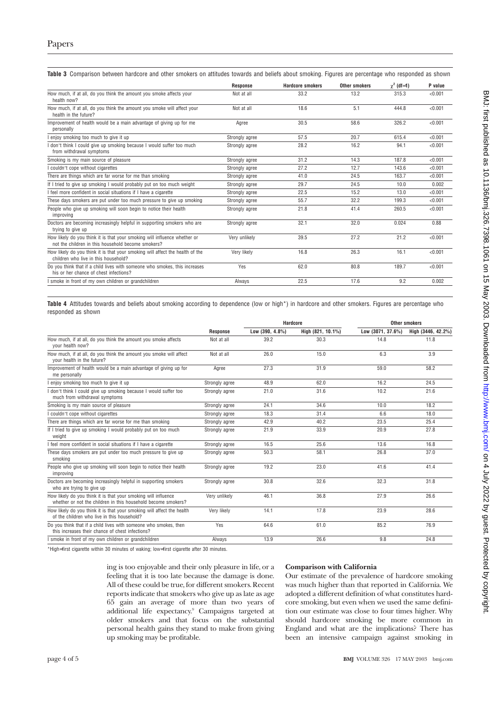|  |  | Table 3 Comparison between hardcore and other smokers on attitudes towards and beliefs about smoking. Figures are percentage who responded as shown |  |  |
|--|--|-----------------------------------------------------------------------------------------------------------------------------------------------------|--|--|

|                                                                                                                                 | <b>Response</b> | <b>Hardcore smokers</b> | <b>Other smokers</b> | $\gamma^2$ (df=1) | P value |
|---------------------------------------------------------------------------------------------------------------------------------|-----------------|-------------------------|----------------------|-------------------|---------|
| How much, if at all, do you think the amount you smoke affects your<br>health now?                                              | Not at all      | 33.2                    | 13.2                 | 315.3             | < 0.001 |
| How much, if at all, do you think the amount you smoke will affect your<br>health in the future?                                | Not at all      | 18.6                    | 5.1                  | 444.8             | < 0.001 |
| Improvement of health would be a main advantage of giving up for me<br>personally                                               | Agree           | 30.5                    | 58.6                 | 326.2             | < 0.001 |
| enjoy smoking too much to give it up                                                                                            | Strongly agree  | 57.5                    | 20.7                 | 615.4             | < 0.001 |
| I don't think I could give up smoking because I would suffer too much<br>from withdrawal symptoms                               | Strongly agree  | 28.2                    | 16.2                 | 94.1              | < 0.001 |
| Smoking is my main source of pleasure                                                                                           | Strongly agree  | 31.2                    | 14.3                 | 187.8             | < 0.001 |
| I couldn't cope without cigarettes                                                                                              | Strongly agree  | 27.2                    | 12.7                 | 143.6             | < 0.001 |
| There are things which are far worse for me than smoking                                                                        | Strongly agree  | 41.0                    | 24.5                 | 163.7             | < 0.001 |
| If I tried to give up smoking I would probably put on too much weight                                                           | Strongly agree  | 29.7                    | 24.5                 | 10.0              | 0.002   |
| I feel more confident in social situations if I have a cigarette                                                                | Strongly agree  | 22.5                    | 15.2                 | 13.0              | < 0.001 |
| These days smokers are put under too much pressure to give up smoking                                                           | Strongly agree  | 55.7                    | 32.2                 | 199.3             | < 0.001 |
| People who give up smoking will soon begin to notice their health<br>improving                                                  | Strongly agree  | 21.8                    | 41.4                 | 260.5             | < 0.001 |
| Doctors are becoming increasingly helpful in supporting smokers who are<br>trying to give up                                    | Strongly agree  | 32.1                    | 32.0                 | 0.024             | 0.88    |
| How likely do you think it is that your smoking will influence whether or<br>not the children in this household become smokers? | Very unlikely   | 39.5                    | 27.2                 | 21.2              | < 0.001 |
| How likely do you think it is that your smoking will affect the health of the<br>children who live in this household?           | Very likely     | 16.8                    | 26.3                 | 16.1              | < 0.001 |
| Do you think that if a child lives with someone who smokes, this increases<br>his or her chance of chest infections?            | Yes             | 62.0                    | 80.8                 | 189.7             | < 0.001 |
| I smoke in front of my own children or grandchildren                                                                            | Always          | 22.5                    | 17.6                 | 9.2               | 0.002   |
|                                                                                                                                 |                 |                         |                      |                   |         |

**Table 4** Attitudes towards and beliefs about smoking according to dependence (low or high\*) in hardcore and other smokers. Figures are percentage who responded as shown

|                                                                                                                                 |                 | <b>Hardcore</b>    |                   | <b>Other smokers</b> |                    |  |
|---------------------------------------------------------------------------------------------------------------------------------|-----------------|--------------------|-------------------|----------------------|--------------------|--|
|                                                                                                                                 | <b>Response</b> | Low $(390, 4.8\%)$ | High (821, 10.1%) | Low (3071, 37.6%)    | High (3446, 42.2%) |  |
| How much, if at all, do you think the amount you smoke affects<br>vour health now?                                              | Not at all      | 39.2               | 30.3              | 14.8                 | 11.8               |  |
| How much, if at all, do you think the amount you smoke will affect<br>your health in the future?                                | Not at all      | 26.0               | 15.0              | 6.3                  | 3.9                |  |
| Improvement of health would be a main advantage of giving up for<br>me personally                                               | Agree           | 27.3               | 31.9              | 59.0                 | 58.2               |  |
| enjoy smoking too much to give it up                                                                                            | Strongly agree  | 48.9               | 62.0              | 16.2                 | 24.5               |  |
| I don't think I could give up smoking because I would suffer too<br>much from withdrawal symptoms                               | Strongly agree  | 21.0               | 31.6              | 10.2                 | 21.6               |  |
| Smoking is my main source of pleasure                                                                                           | Strongly agree  | 24.1               | 34.6              | 10.0                 | 18.2               |  |
| I couldn't cope without cigarettes                                                                                              | Strongly agree  | 18.3               | 31.4              | 6.6                  | 18.0               |  |
| There are things which are far worse for me than smoking                                                                        | Strongly agree  | 42.9               | 40.2              | 23.5                 | 25.4               |  |
| If I tried to give up smoking I would probably put on too much<br>weight                                                        | Strongly agree  | 21.9               | 33.9              | 20.9                 | 27.8               |  |
| I feel more confident in social situations if I have a cigarette                                                                | Strongly agree  | 16.5               | 25.6              | 13.6                 | 16.8               |  |
| These days smokers are put under too much pressure to give up<br>smoking                                                        | Strongly agree  | 50.3               | 58.1              | 26.8                 | 37.0               |  |
| People who give up smoking will soon begin to notice their health<br>improving                                                  | Strongly agree  | 19.2               | 23.0              | 41.6                 | 41.4               |  |
| Doctors are becoming increasingly helpful in supporting smokers<br>who are trying to give up                                    | Strongly agree  | 30.8               | 32.6              | 32.3                 | 31.8               |  |
| How likely do you think it is that your smoking will influence<br>whether or not the children in this household become smokers? | Very unlikely   | 46.1               | 36.8              | 27.9                 | 26.6               |  |
| How likely do you think it is that your smoking will affect the health<br>of the children who live in this household?           | Very likely     | 14.1               | 17.8              | 23.9                 | 28.6               |  |
| Do you think that if a child lives with someone who smokes, then<br>this increases their chance of chest infections?            | Yes             | 64.6               | 61.0              | 85.2                 | 76.9               |  |
| I smoke in front of my own children or grandchildren                                                                            | Always          | 13.9               | 26.6              | 9.8                  | 24.8               |  |

\*High=first cigarette within 30 minutes of waking; low=first cigarette after 30 minutes.

ing is too enjoyable and their only pleasure in life, or a feeling that it is too late because the damage is done. All of these could be true, for different smokers. Recent reports indicate that smokers who give up as late as age 65 gain an average of more than two years of additional life expectancy.<sup>9</sup> Campaigns targeted at older smokers and that focus on the substantial personal health gains they stand to make from giving up smoking may be profitable.

#### **Comparison with California**

Our estimate of the prevalence of hardcore smoking was much higher than that reported in California. We adopted a different definition of what constitutes hardcore smoking, but even when we used the same definition our estimate was close to four times higher. Why should hardcore smoking be more common in England and what are the implications? There has been an intensive campaign against smoking in